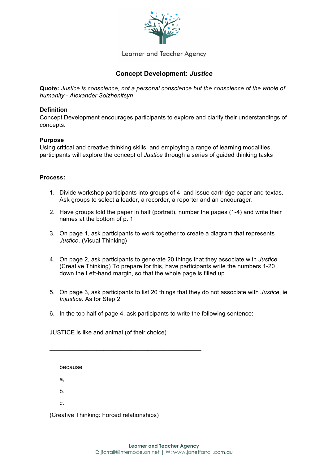

**Learner and Teacher Agency** 

## **Concept Development:** *Justice*

**Quote:** *Justice is conscience, not a personal conscience but the conscience of the whole of humanity* - *Alexander Solzhenitsyn*

## **Definition**

Concept Development encourages participants to explore and clarify their understandings of concepts.

## **Purpose**

Using critical and creative thinking skills, and employing a range of learning modalities, participants will explore the concept of *Justice* through a series of guided thinking tasks

## **Process:**

- 1. Divide workshop participants into groups of 4, and issue cartridge paper and textas. Ask groups to select a leader, a recorder, a reporter and an encourager.
- 2. Have groups fold the paper in half (portrait), number the pages (1-4) and write their names at the bottom of p. 1
- 3. On page 1, ask participants to work together to create a diagram that represents *Justice*. (Visual Thinking)
- 4. On page 2, ask participants to generate 20 things that they associate with *Justice*. (Creative Thinking) To prepare for this, have participants write the numbers 1-20 down the Left-hand margin, so that the whole page is filled up.
- 5. On page 3, ask participants to list 20 things that they do not associate with *Justice*, ie *Injustice.* As for Step 2.
- 6. In the top half of page 4, ask participants to write the following sentence:

JUSTICE is like and animal (of their choice)

 $\mathcal{L}_\mathcal{L}$  , and the contribution of the contribution of  $\mathcal{L}_\mathcal{L}$ 

because a, b.

c.

(Creative Thinking: Forced relationships)